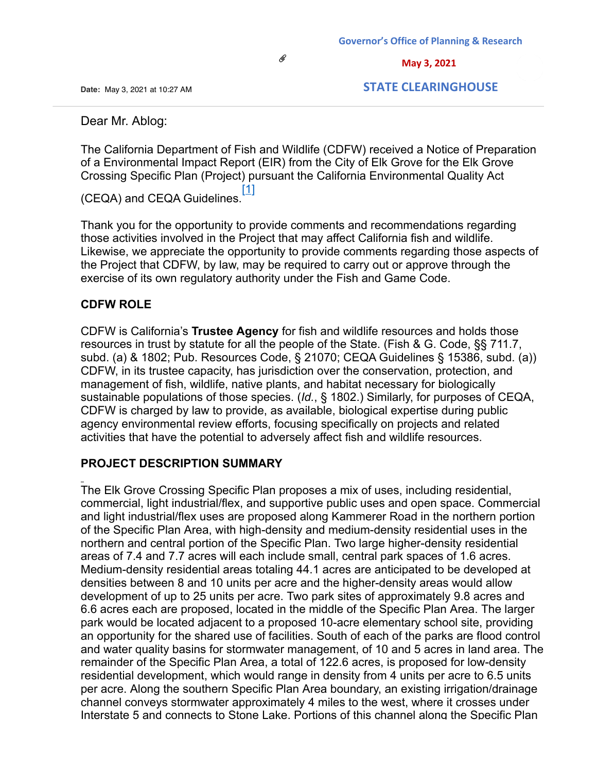O

**Date:** Ma[y 3, 20](mailto:Ablogaablog@elkgrovecity.org)21 at 10:27 AM

 **STATE CLEARINGHOUSE**

 **May 3, 2021**

Dear Mr. Ablog:

The California Department of Fish and Wildlife (CDFW) received a Notice of Preparation of a Environmental Impact Report (EIR) from the City of Elk Grove for the Elk Grove Crossing Specific Plan (Project) pursuant the California Environmental Quality Act

(CEQA) and CEQA Guidelines.<sup>[1]</sup>

Thank you for the opportunity to provide comments and recommendations regarding those activities involved in the Project that may affect California fish and wildlife. Likewise, we appreciate the opportunity to provide comments regarding those aspects of the Project that CDFW, by law, may be required to carry out or approve through the exercise of its own regulatory authority under the Fish and Game Code.

### **CDFW ROLE**

CDFW is California's **Trustee Agency** for fish and wildlife resources and holds those resources in trust by statute for all the people of the State. (Fish & G. Code, §§ 711.7, subd. (a) & 1802; Pub. Resources Code, § 21070; CEQA Guidelines § 15386, subd. (a)) CDFW, in its trustee capacity, has jurisdiction over the conservation, protection, and management of fish, wildlife, native plants, and habitat necessary for biologically sustainable populations of those species. (*Id.*, § 1802.) Similarly, for purposes of CEQA, CDFW is charged by law to provide, as available, biological expertise during public agency environmental review efforts, focusing specifically on projects and related activities that have the potential to adversely affect fish and wildlife resources.

#### **PROJECT DESCRIPTION SUMMARY**

The Elk Grove Crossing Specific Plan proposes a mix of uses, including residential, commercial, light industrial/flex, and supportive public uses and open space. Commercial and light industrial/flex uses are proposed along Kammerer Road in the northern portion of the Specific Plan Area, with high-density and medium-density residential uses in the northern and central portion of the Specific Plan. Two large higher-density residential areas of 7.4 and 7.7 acres will each include small, central park spaces of 1.6 acres. Medium-density residential areas totaling 44.1 acres are anticipated to be developed at densities between 8 and 10 units per acre and the higher-density areas would allow development of up to 25 units per acre. Two park sites of approximately 9.8 acres and 6.6 acres each are proposed, located in the middle of the Specific Plan Area. The larger park would be located adjacent to a proposed 10-acre elementary school site, providing an opportunity for the shared use of facilities. South of each of the parks are flood control and water quality basins for stormwater management, of 10 and 5 acres in land area. The remainder of the Specific Plan Area, a total of 122.6 acres, is proposed for low-density residential development, which would range in density from 4 units per acre to 6.5 units per acre. Along the southern Specific Plan Area boundary, an existing irrigation/drainage channel conveys stormwater approximately 4 miles to the west, where it crosses under Interstate 5 and connects to Stone Lake. Portions of this channel along the Specific Plan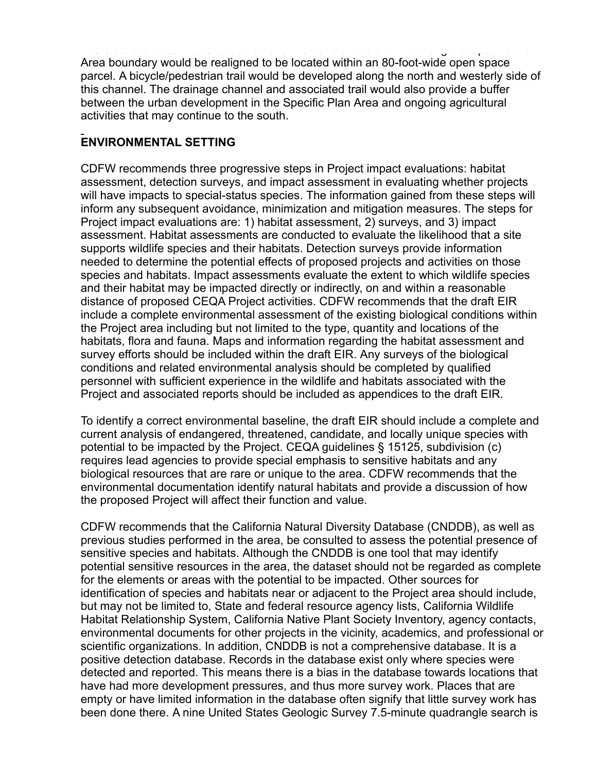Interstate 5 and connects to Stone Lake. Portions of this channel along the Specific Plan Area boundary would be realigned to be located within an 80-foot-wide open space parcel. A bicycle/pedestrian trail would be developed along the north and westerly side of this channel. The drainage channel and associated trail would also provide a buffer between the urban development in the Specific Plan Area and ongoing agricultural activities that may continue to the south.

# **ENVIRONMENTAL SETTING**

CDFW recommends three progressive steps in Project impact evaluations: habitat assessment, detection surveys, and impact assessment in evaluating whether projects will have impacts to special-status species. The information gained from these steps will inform any subsequent avoidance, minimization and mitigation measures. The steps for Project impact evaluations are: 1) habitat assessment, 2) surveys, and 3) impact assessment. Habitat assessments are conducted to evaluate the likelihood that a site supports wildlife species and their habitats. Detection surveys provide information needed to determine the potential effects of proposed projects and activities on those species and habitats. Impact assessments evaluate the extent to which wildlife species and their habitat may be impacted directly or indirectly, on and within a reasonable distance of proposed CEQA Project activities. CDFW recommends that the draft EIR include a complete environmental assessment of the existing biological conditions within the Project area including but not limited to the type, quantity and locations of the habitats, flora and fauna. Maps and information regarding the habitat assessment and survey efforts should be included within the draft EIR. Any surveys of the biological conditions and related environmental analysis should be completed by qualified personnel with sufficient experience in the wildlife and habitats associated with the Project and associated reports should be included as appendices to the draft EIR.

To identify a correct environmental baseline, the draft EIR should include a complete and current analysis of endangered, threatened, candidate, and locally unique species with potential to be impacted by the Project. CEQA guidelines § 15125, subdivision (c) requires lead agencies to provide special emphasis to sensitive habitats and any biological resources that are rare or unique to the area. CDFW recommends that the environmental documentation identify natural habitats and provide a discussion of how the proposed Project will affect their function and value.

CDFW recommends that the California Natural Diversity Database (CNDDB), as well as previous studies performed in the area, be consulted to assess the potential presence of sensitive species and habitats. Although the CNDDB is one tool that may identify potential sensitive resources in the area, the dataset should not be regarded as complete for the elements or areas with the potential to be impacted. Other sources for identification of species and habitats near or adjacent to the Project area should include, but may not be limited to, State and federal resource agency lists, California Wildlife Habitat Relationship System, California Native Plant Society Inventory, agency contacts, environmental documents for other projects in the vicinity, academics, and professional or scientific organizations. In addition, CNDDB is not a comprehensive database. It is a positive detection database. Records in the database exist only where species were detected and reported. This means there is a bias in the database towards locations that have had more development pressures, and thus more survey work. Places that are empty or have limited information in the database often signify that little survey work has been done there. A nine United States Geologic Survey 7.5-minute quadrangle search is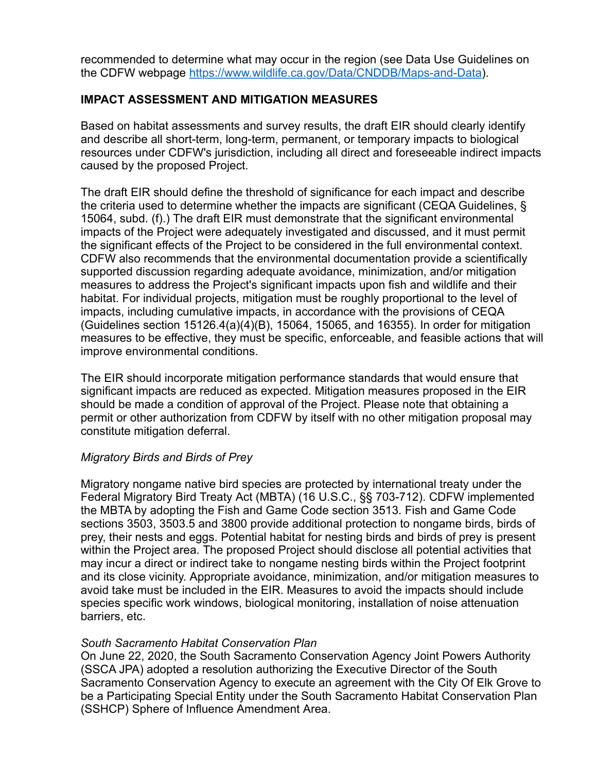recommended to determine what may occur in the region (see Data Use Guidelines on the CDFW webpage<https://www.wildlife.ca.gov/Data/CNDDB/Maps-and-Data>).

### **IMPACT ASSESSMENT AND MITIGATION MEASURES**

Based on habitat assessments and survey results, the draft EIR should clearly identify and describe all short-term, long-term, permanent, or temporary impacts to biological resources under CDFW's jurisdiction, including all direct and foreseeable indirect impacts caused by the proposed Project.

The draft EIR should define the threshold of significance for each impact and describe the criteria used to determine whether the impacts are significant (CEQA Guidelines, § 15064, subd. (f).) The draft EIR must demonstrate that the significant environmental impacts of the Project were adequately investigated and discussed, and it must permit the significant effects of the Project to be considered in the full environmental context. CDFW also recommends that the environmental documentation provide a scientifically supported discussion regarding adequate avoidance, minimization, and/or mitigation measures to address the Project's significant impacts upon fish and wildlife and their habitat. For individual projects, mitigation must be roughly proportional to the level of impacts, including cumulative impacts, in accordance with the provisions of CEQA (Guidelines section 15126.4(a)(4)(B), 15064, 15065, and 16355). In order for mitigation measures to be effective, they must be specific, enforceable, and feasible actions that will improve environmental conditions.

The EIR should incorporate mitigation performance standards that would ensure that significant impacts are reduced as expected. Mitigation measures proposed in the EIR should be made a condition of approval of the Project. Please note that obtaining a permit or other authorization from CDFW by itself with no other mitigation proposal may constitute mitigation deferral.

### *Migratory Birds and Birds of Prey*

Migratory nongame native bird species are protected by international treaty under the Federal Migratory Bird Treaty Act (MBTA) (16 U.S.C., §§ 703-712). CDFW implemented the MBTA by adopting the Fish and Game Code section 3513. Fish and Game Code sections 3503, 3503.5 and 3800 provide additional protection to nongame birds, birds of prey, their nests and eggs. Potential habitat for nesting birds and birds of prey is present within the Project area. The proposed Project should disclose all potential activities that may incur a direct or indirect take to nongame nesting birds within the Project footprint and its close vicinity. Appropriate avoidance, minimization, and/or mitigation measures to avoid take must be included in the EIR. Measures to avoid the impacts should include species specific work windows, biological monitoring, installation of noise attenuation barriers, etc.

#### *South Sacramento Habitat Conservation Plan*

On June 22, 2020, the South Sacramento Conservation Agency Joint Powers Authority (SSCA JPA) adopted a resolution authorizing the Executive Director of the South Sacramento Conservation Agency to execute an agreement with the City Of Elk Grove to be a Participating Special Entity under the South Sacramento Habitat Conservation Plan (SSHCP) Sphere of Influence Amendment Area.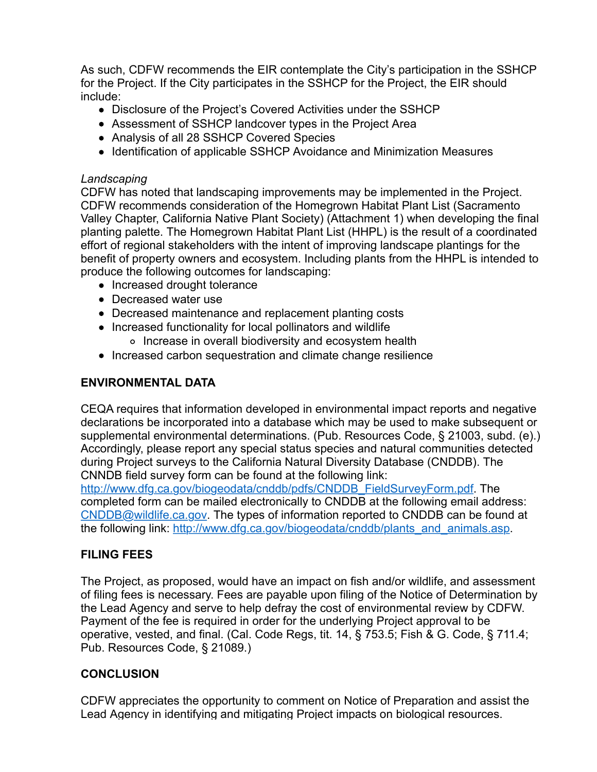As such, CDFW recommends the EIR contemplate the City's participation in the SSHCP for the Project. If the City participates in the SSHCP for the Project, the EIR should include:

- Disclosure of the Project's Covered Activities under the SSHCP
- Assessment of SSHCP landcover types in the Project Area
- Analysis of all 28 SSHCP Covered Species
- Identification of applicable SSHCP Avoidance and Minimization Measures

### *Landscaping*

CDFW has noted that landscaping improvements may be implemented in the Project. CDFW recommends consideration of the Homegrown Habitat Plant List (Sacramento Valley Chapter, California Native Plant Society) (Attachment 1) when developing the final planting palette. The Homegrown Habitat Plant List (HHPL) is the result of a coordinated effort of regional stakeholders with the intent of improving landscape plantings for the benefit of property owners and ecosystem. Including plants from the HHPL is intended to produce the following outcomes for landscaping:

- Increased drought tolerance
- Decreased water use
- Decreased maintenance and replacement planting costs
- Increased functionality for local pollinators and wildlife
	- o Increase in overall biodiversity and ecosystem health
- Increased carbon sequestration and climate change resilience

## **ENVIRONMENTAL DATA**

CEQA requires that information developed in environmental impact reports and negative declarations be incorporated into a database which may be used to make subsequent or supplemental environmental determinations. (Pub. Resources Code, § 21003, subd. (e).) Accordingly, please report any special status species and natural communities detected during Project surveys to the California Natural Diversity Database (CNDDB). The CNNDB field survey form can be found at the following link:

[http://www.dfg.ca.gov/biogeodata/cnddb/pdfs/CNDDB\\_FieldSurveyForm.pdf.](http://www.dfg.ca.gov/biogeodata/cnddb/pdfs/CNDDB_FieldSurveyForm.pdf) The completed form can be mailed electronically to CNDDB at the following email address: [CNDDB@wildlife.ca.gov](mailto:CNDDB@wildlife.ca.gov). The types of information reported to CNDDB can be found at the following link: [http://www.dfg.ca.gov/biogeodata/cnddb/plants\\_and\\_animals.asp](http://www.dfg.ca.gov/biogeodata/cnddb/plants_and_animals.asp).

# **FILING FEES**

The Project, as proposed, would have an impact on fish and/or wildlife, and assessment of filing fees is necessary. Fees are payable upon filing of the Notice of Determination by the Lead Agency and serve to help defray the cost of environmental review by CDFW. Payment of the fee is required in order for the underlying Project approval to be operative, vested, and final. (Cal. Code Regs, tit. 14, § 753.5; Fish & G. Code, § 711.4; Pub. Resources Code, § 21089.)

# **CONCLUSION**

CDFW appreciates the opportunity to comment on Notice of Preparation and assist the Lead Agency in identifying and mitigating Project impacts on biological resources.